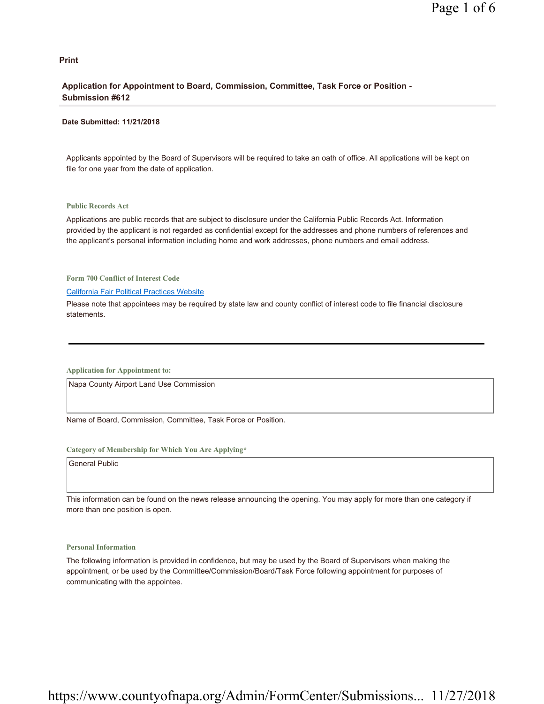#### **Print**

### **Application for Appointment to Board, Commission, Committee, Task Force or Position - Submission #612**

#### **Date Submitted: 11/21/2018**

Applicants appointed by the Board of Supervisors will be required to take an oath of office. All applications will be kept on file for one year from the date of application.

#### **Public Records Act**

Applications are public records that are subject to disclosure under the California Public Records Act. Information provided by the applicant is not regarded as confidential except for the addresses and phone numbers of references and the applicant's personal information including home and work addresses, phone numbers and email address.

**Form 700 Conflict of Interest Code**

#### California Fair Political Practices Website

Please note that appointees may be required by state law and county conflict of interest code to file financial disclosure statements.

**Application for Appointment to:** 

Napa County Airport Land Use Commission

Name of Board, Commission, Committee, Task Force or Position.

#### **Category of Membership for Which You Are Applying\***

General Public

This information can be found on the news release announcing the opening. You may apply for more than one category if more than one position is open.

#### **Personal Information**

The following information is provided in confidence, but may be used by the Board of Supervisors when making the appointment, or be used by the Committee/Commission/Board/Task Force following appointment for purposes of communicating with the appointee.

# https://www.countyofnapa.org/Admin/FormCenter/Submissions... 11/27/2018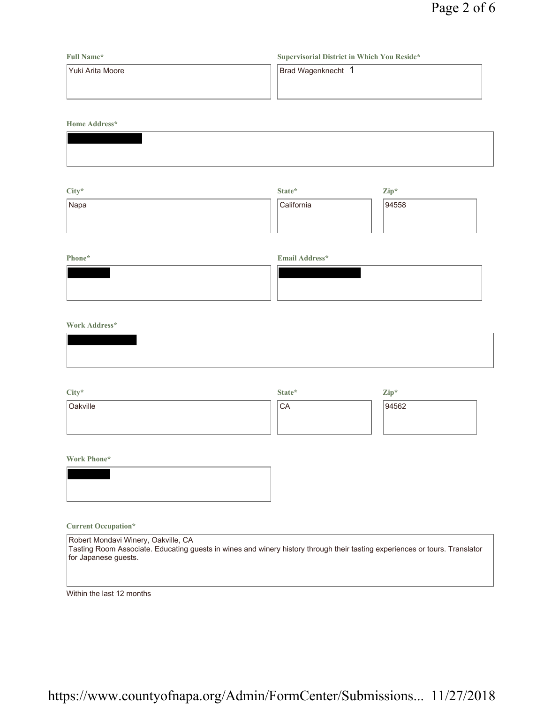| <b>Full Name*</b> | Supervisorial District in Which You Reside* |  |  |
|-------------------|---------------------------------------------|--|--|
| lYuki Arita Moore | Brad Wagenknecht 1                          |  |  |
|                   |                                             |  |  |
|                   |                                             |  |  |

**Home Address\***

| City* | State*     | $\mathbf{Zip}^*$ |
|-------|------------|------------------|
| Napa  | California | 94558            |
|       |            |                  |
|       |            |                  |

## **Phone\* Email Address\***

### **Work Address\***

| City*    | State*          | Zip*  |
|----------|-----------------|-------|
| Oakville | <sup>1</sup> CA | 94562 |
|          |                 |       |
|          |                 |       |

**Work Phone\***

### **Current Occupation\***

| Robert Mondavi Winery, Oakville, CA                                                                                         |
|-----------------------------------------------------------------------------------------------------------------------------|
| Tasting Room Associate. Educating guests in wines and winery history through their tasting experiences or tours. Translator |
| for Japanese quests.                                                                                                        |

Within the last 12 months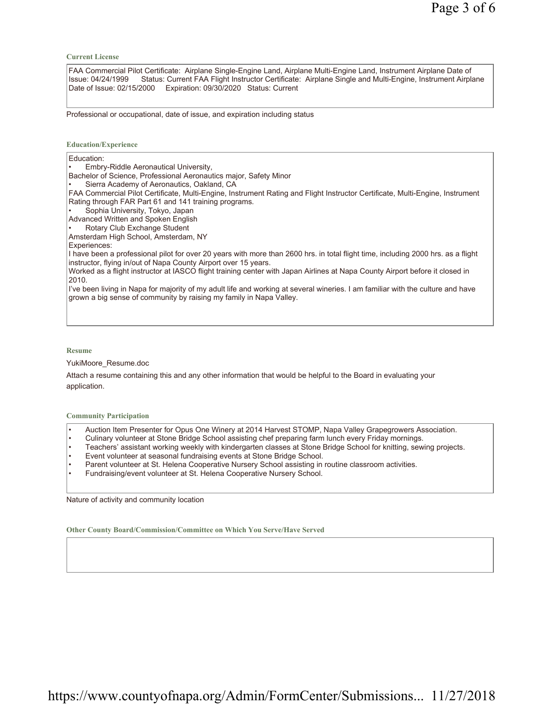**Current License**

FAA Commercial Pilot Certificate: Airplane Single-Engine Land, Airplane Multi-Engine Land, Instrument Airplane Date of Issue: 04/24/1999 Status: Current FAA Flight Instructor Certificate: Airplane Single and Multi-Engine, Instrument Airplane Date of Issue: 02/15/2000 Expiration: 09/30/2020 Status: Current

Professional or occupational, date of issue, and expiration including status

#### **Education/Experience**

| Education:                                                                                                                                                                                             |
|--------------------------------------------------------------------------------------------------------------------------------------------------------------------------------------------------------|
| Embry-Riddle Aeronautical University,<br>$\bullet$                                                                                                                                                     |
| Bachelor of Science, Professional Aeronautics major, Safety Minor                                                                                                                                      |
| Sierra Academy of Aeronautics, Oakland, CA<br>$\bullet$                                                                                                                                                |
| FAA Commercial Pilot Certificate, Multi-Engine, Instrument Rating and Flight Instructor Certificate, Multi-Engine, Instrument                                                                          |
| Rating through FAR Part 61 and 141 training programs.                                                                                                                                                  |
| Sophia University, Tokyo, Japan<br>$\bullet$                                                                                                                                                           |
| Advanced Written and Spoken English                                                                                                                                                                    |
| Rotary Club Exchange Student<br>$\bullet$                                                                                                                                                              |
| Amsterdam High School, Amsterdam, NY                                                                                                                                                                   |
| Experiences:                                                                                                                                                                                           |
| I have been a professional pilot for over 20 years with more than 2600 hrs. in total flight time, including 2000 hrs. as a flight<br>instructor, flying in/out of Napa County Airport over 15 years.   |
| Worked as a flight instructor at IASCO flight training center with Japan Airlines at Napa County Airport before it closed in<br>2010.                                                                  |
| I've been living in Napa for majority of my adult life and working at several wineries. I am familiar with the culture and have<br>grown a big sense of community by raising my family in Napa Valley. |
|                                                                                                                                                                                                        |
|                                                                                                                                                                                                        |

**Resume**

YukiMoore\_Resume.doc

Attach a resume containing this and any other information that would be helpful to the Board in evaluating your application.

**Community Participation**

- Auction Item Presenter for Opus One Winery at 2014 Harvest STOMP, Napa Valley Grapegrowers Association.
- Culinary volunteer at Stone Bridge School assisting chef preparing farm lunch every Friday mornings.
- Teachers' assistant working weekly with kindergarten classes at Stone Bridge School for knitting, sewing projects.
- Event volunteer at seasonal fundraising events at Stone Bridge School.
- Parent volunteer at St. Helena Cooperative Nursery School assisting in routine classroom activities.
- Fundraising/event volunteer at St. Helena Cooperative Nursery School.

Nature of activity and community location

**Other County Board/Commission/Committee on Which You Serve/Have Served**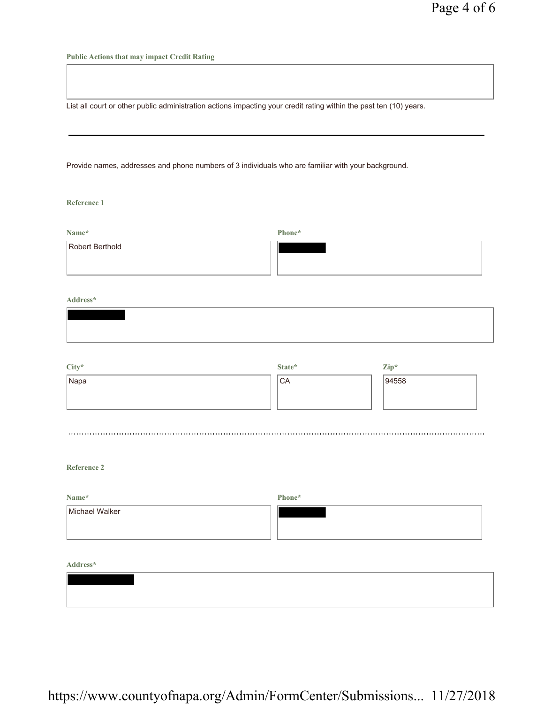**Public Actions that may impact Credit Rating**

List all court or other public administration actions impacting your credit rating within the past ten (10) years.

Provide names, addresses and phone numbers of 3 individuals who are familiar with your background.

**Reference 1**

| Name*           | Phone* |
|-----------------|--------|
| Robert Berthold |        |
|                 |        |

**Address\***

| City* | State* | $\mathbf{Zip}^*$ |  |
|-------|--------|------------------|--|
| Napa  | CA     | 94558            |  |
|       |        |                  |  |
|       |        |                  |  |
|       |        |                  |  |

**Reference 2**

| Name*          | Phone* |
|----------------|--------|
| Michael Walker |        |
|                |        |

**Address\***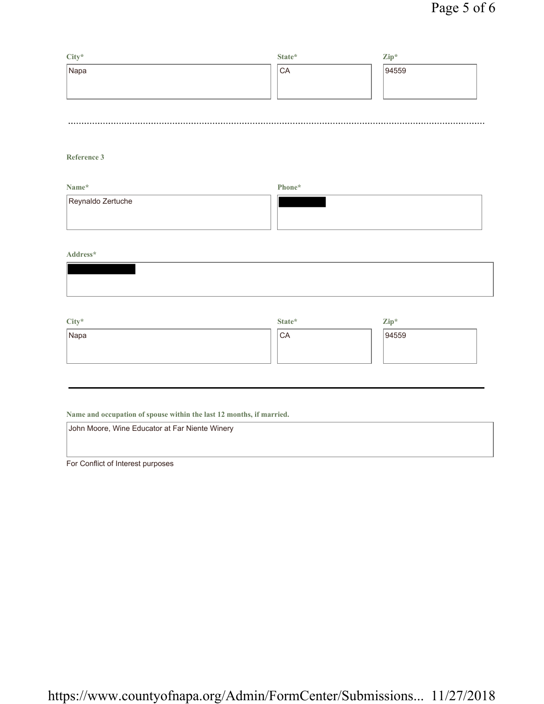| City* | State*    | $\mathbf{Zip}^*$ |
|-------|-----------|------------------|
| Napa  | <b>CA</b> | 94559            |
|       |           |                  |
|       |           |                  |
|       |           |                  |

## **Reference 3**

| Name*             | Phone* |  |
|-------------------|--------|--|
| Reynaldo Zertuche |        |  |

### **Address\***

| $City*$ | State* | $\mathbf{Zip}^*$ |
|---------|--------|------------------|
| Napa    | CA     | 94559            |
|         |        |                  |
|         |        |                  |

## **Name and occupation of spouse within the last 12 months, if married.**

| John Moore, Wine Educator at Far Niente Winery |  |
|------------------------------------------------|--|
|                                                |  |
|                                                |  |

For Conflict of Interest purposes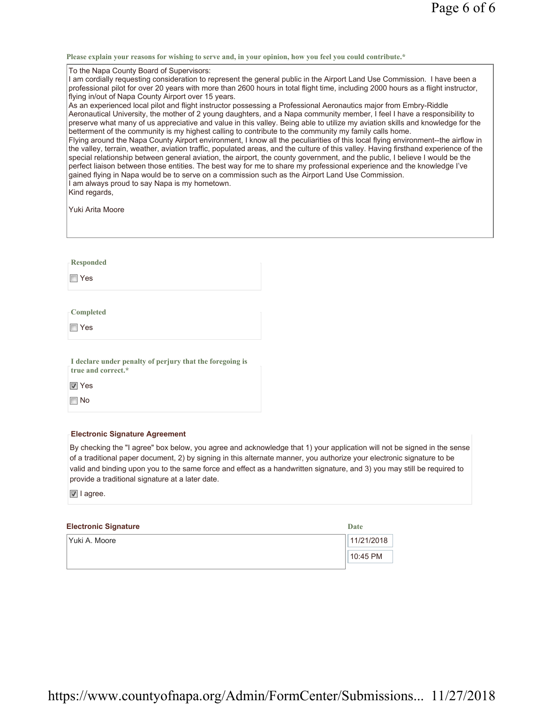**Please explain your reasons for wishing to serve and, in your opinion, how you feel you could contribute.\***

To the Napa County Board of Supervisors:

I am cordially requesting consideration to represent the general public in the Airport Land Use Commission. I have been a professional pilot for over 20 years with more than 2600 hours in total flight time, including 2000 hours as a flight instructor, flying in/out of Napa County Airport over 15 years.

As an experienced local pilot and flight instructor possessing a Professional Aeronautics major from Embry-Riddle Aeronautical University, the mother of 2 young daughters, and a Napa community member, I feel I have a responsibility to preserve what many of us appreciative and value in this valley. Being able to utilize my aviation skills and knowledge for the betterment of the community is my highest calling to contribute to the community my family calls home. Flying around the Napa County Airport environment, I know all the peculiarities of this local flying environment--the airflow in the valley, terrain, weather, aviation traffic, populated areas, and the culture of this valley. Having firsthand experience of the special relationship between general aviation, the airport, the county government, and the public, I believe I would be the perfect liaison between those entities. The best way for me to share my professional experience and the knowledge I've gained flying in Napa would be to serve on a commission such as the Airport Land Use Commission. I am always proud to say Napa is my hometown.

Kind regards,

Yuki Arita Moore

**Responded**

Yes

**Completed**

Yes

**I declare under penalty of perjury that the foregoing is true and correct.\***

**Ves** 

No

#### **Electronic Signature Agreement**

By checking the "I agree" box below, you agree and acknowledge that 1) your application will not be signed in the sense of a traditional paper document, 2) by signing in this alternate manner, you authorize your electronic signature to be valid and binding upon you to the same force and effect as a handwritten signature, and 3) you may still be required to provide a traditional signature at a later date.

**Date** 

I agree.

### **Electronic Signature**

| . .             |            |
|-----------------|------------|
| l Yuki A. Moore | 11/21/2018 |
|                 | $10:45$ PM |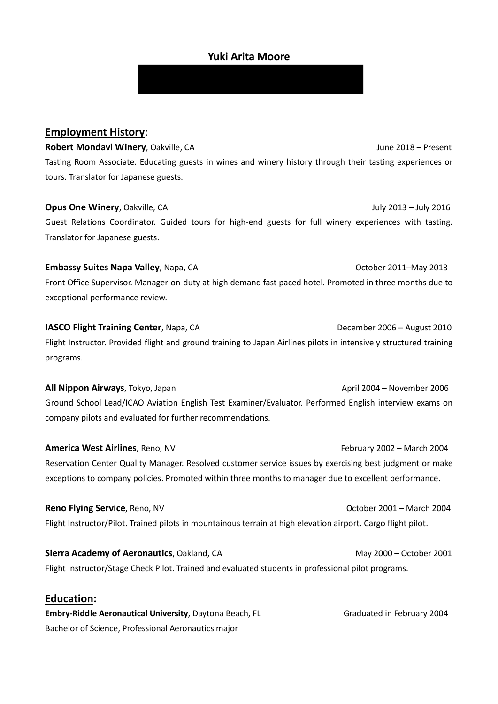## **Yuki Arita Moore**

## **Employment History**:

**Robert Mondavi Winery**, Oakville, CA June 2018 – Present Tasting Room Associate. Educating guests in wines and winery history through their tasting experiences or tours. Translator for Japanese guests.

## **Opus One Winery**, Oakville, CA **July 2014 July 2013** – July 2016

Guest Relations Coordinator. Guided tours for high-end guests for full winery experiences with tasting. Translator for Japanese guests.

## **Embassy Suites Napa Valley**, Napa, CAOctober 2011–May 2013

Front Office Supervisor. Manager-on-duty at high demand fast paced hotel. Promoted in three months due to exceptional performance review.

# **IASCO Flight Training Center**, Napa, CA December 2006 – August 2010 Flight Instructor. Provided flight and ground training to Japan Airlines pilots in intensively structured training programs.

**All Nippon Airways**, Tokyo, Japan **All Nippon Airways**, Tokyo, Japan April 2004 – November 2006 Ground School Lead/ICAO Aviation English Test Examiner/Evaluator. Performed English interview exams on company pilots and evaluated for further recommendations.

**America West Airlines**, Reno, NV **February 2002 – March 2004** Reservation Center Quality Manager. Resolved customer service issues by exercising best judgment or make exceptions to company policies. Promoted within three months to manager due to excellent performance.

**Reno Flying Service**, Reno, NV **Construction Construction Construction Construction Construction Construction Construction Construction Construction Construction Construction Construction Construction Construction Constru** Flight Instructor/Pilot. Trained pilots in mountainous terrain at high elevation airport. Cargo flight pilot.

**Sierra Academy of Aeronautics**, Oakland, CA May 2000 – October 2001 Flight Instructor/Stage Check Pilot. Trained and evaluated students in professional pilot programs.

## **Education:**

**Embry-Riddle Aeronautical University**, Daytona Beach, FL Graduated in February 2004 Bachelor of Science, Professional Aeronautics major